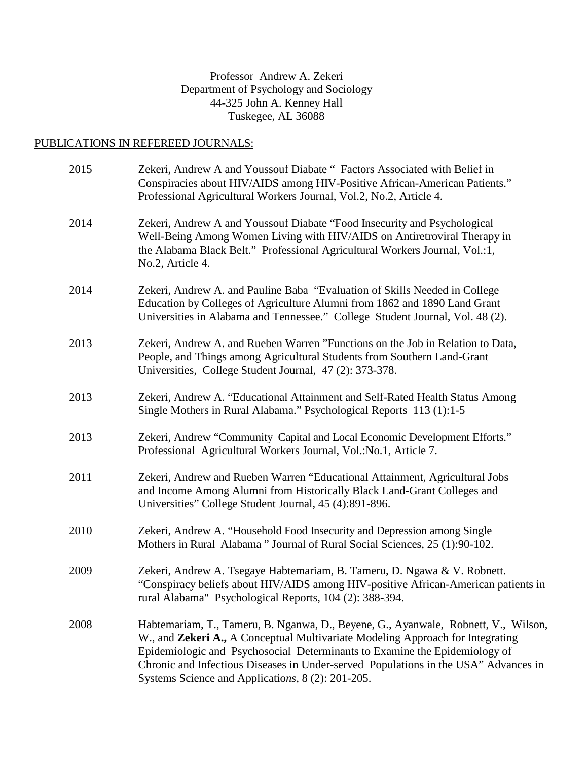# Professor Andrew A. Zekeri Department of Psychology and Sociology 44-325 John A. Kenney Hall Tuskegee, AL 36088

# PUBLICATIONS IN REFEREED JOURNALS:

| 2015 | Zekeri, Andrew A and Youssouf Diabate " Factors Associated with Belief in<br>Conspiracies about HIV/AIDS among HIV-Positive African-American Patients."<br>Professional Agricultural Workers Journal, Vol.2, No.2, Article 4.                                                                                                                                                                  |
|------|------------------------------------------------------------------------------------------------------------------------------------------------------------------------------------------------------------------------------------------------------------------------------------------------------------------------------------------------------------------------------------------------|
| 2014 | Zekeri, Andrew A and Youssouf Diabate "Food Insecurity and Psychological<br>Well-Being Among Women Living with HIV/AIDS on Antiretroviral Therapy in<br>the Alabama Black Belt." Professional Agricultural Workers Journal, Vol.:1,<br>No.2, Article 4.                                                                                                                                        |
| 2014 | Zekeri, Andrew A. and Pauline Baba "Evaluation of Skills Needed in College<br>Education by Colleges of Agriculture Alumni from 1862 and 1890 Land Grant<br>Universities in Alabama and Tennessee." College Student Journal, Vol. 48 (2).                                                                                                                                                       |
| 2013 | Zekeri, Andrew A. and Rueben Warren "Functions on the Job in Relation to Data,<br>People, and Things among Agricultural Students from Southern Land-Grant<br>Universities, College Student Journal, 47 (2): 373-378.                                                                                                                                                                           |
| 2013 | Zekeri, Andrew A. "Educational Attainment and Self-Rated Health Status Among<br>Single Mothers in Rural Alabama." Psychological Reports 113 (1):1-5                                                                                                                                                                                                                                            |
| 2013 | Zekeri, Andrew "Community Capital and Local Economic Development Efforts."<br>Professional Agricultural Workers Journal, Vol.: No.1, Article 7.                                                                                                                                                                                                                                                |
| 2011 | Zekeri, Andrew and Rueben Warren "Educational Attainment, Agricultural Jobs<br>and Income Among Alumni from Historically Black Land-Grant Colleges and<br>Universities" College Student Journal, 45 (4):891-896.                                                                                                                                                                               |
| 2010 | Zekeri, Andrew A. "Household Food Insecurity and Depression among Single<br>Mothers in Rural Alabama" Journal of Rural Social Sciences, 25 (1):90-102.                                                                                                                                                                                                                                         |
| 2009 | Zekeri, Andrew A. Tsegaye Habtemariam, B. Tameru, D. Ngawa & V. Robnett.<br>"Conspiracy beliefs about HIV/AIDS among HIV-positive African-American patients in<br>rural Alabama" Psychological Reports, 104 (2): 388-394.                                                                                                                                                                      |
| 2008 | Habtemariam, T., Tameru, B. Nganwa, D., Beyene, G., Ayanwale, Robnett, V., Wilson,<br>W., and Zekeri A., A Conceptual Multivariate Modeling Approach for Integrating<br>Epidemiologic and Psychosocial Determinants to Examine the Epidemiology of<br>Chronic and Infectious Diseases in Under-served Populations in the USA" Advances in<br>Systems Science and Applications, 8 (2): 201-205. |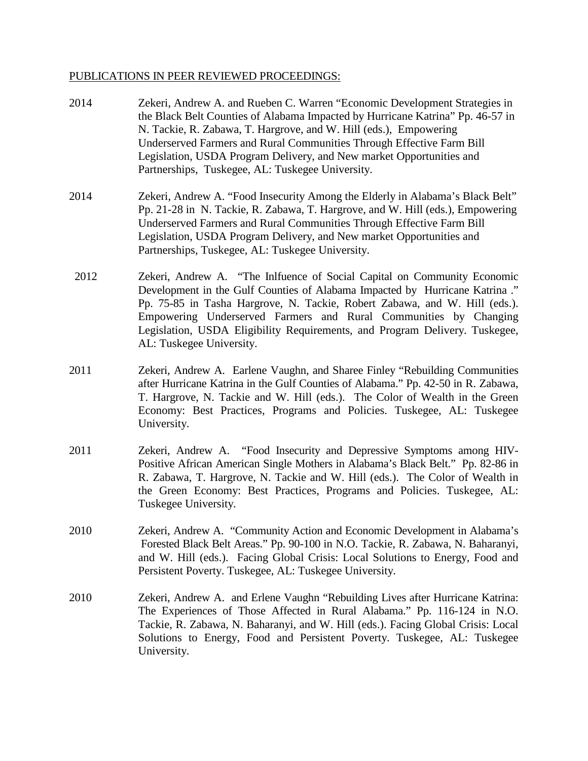#### PUBLICATIONS IN PEER REVIEWED PROCEEDINGS:

2014 Zekeri, Andrew A. and Rueben C. Warren "Economic Development Strategies in the Black Belt Counties of Alabama Impacted by Hurricane Katrina" Pp. 46-57 in N. Tackie, R. Zabawa, T. Hargrove, and W. Hill (eds.), Empowering Underserved Farmers and Rural Communities Through Effective Farm Bill Legislation, USDA Program Delivery, and New market Opportunities and Partnerships, Tuskegee, AL: Tuskegee University. 2014 Zekeri, Andrew A. "Food Insecurity Among the Elderly in Alabama's Black Belt" Pp. 21-28 in N. Tackie, R. Zabawa, T. Hargrove, and W. Hill (eds.), Empowering Underserved Farmers and Rural Communities Through Effective Farm Bill Legislation, USDA Program Delivery, and New market Opportunities and Partnerships, Tuskegee, AL: Tuskegee University. 2012 Zekeri, Andrew A. "The Inlfuence of Social Capital on Community Economic Development in the Gulf Counties of Alabama Impacted by Hurricane Katrina ." Pp. 75-85 in Tasha Hargrove, N. Tackie, Robert Zabawa, and W. Hill (eds.). Empowering Underserved Farmers and Rural Communities by Changing Legislation, USDA Eligibility Requirements, and Program Delivery. Tuskegee, AL: Tuskegee University. 2011 Zekeri, Andrew A. Earlene Vaughn, and Sharee Finley "Rebuilding Communities after Hurricane Katrina in the Gulf Counties of Alabama." Pp. 42-50 in R. Zabawa, T. Hargrove, N. Tackie and W. Hill (eds.). The Color of Wealth in the Green Economy: Best Practices, Programs and Policies. Tuskegee, AL: Tuskegee University. 2011 Zekeri, Andrew A. "Food Insecurity and Depressive Symptoms among HIV-Positive African American Single Mothers in Alabama's Black Belt." Pp. 82-86 in R. Zabawa, T. Hargrove, N. Tackie and W. Hill (eds.). The Color of Wealth in the Green Economy: Best Practices, Programs and Policies. Tuskegee, AL: Tuskegee University. 2010 Zekeri, Andrew A. "Community Action and Economic Development in Alabama's Forested Black Belt Areas." Pp. 90-100 in N.O. Tackie, R. Zabawa, N. Baharanyi, and W. Hill (eds.). Facing Global Crisis: Local Solutions to Energy, Food and Persistent Poverty. Tuskegee, AL: Tuskegee University. 2010 Zekeri, Andrew A. and Erlene Vaughn "Rebuilding Lives after Hurricane Katrina: The Experiences of Those Affected in Rural Alabama." Pp. 116-124 in N.O. Tackie, R. Zabawa, N. Baharanyi, and W. Hill (eds.). Facing Global Crisis: Local Solutions to Energy, Food and Persistent Poverty. Tuskegee, AL: Tuskegee University.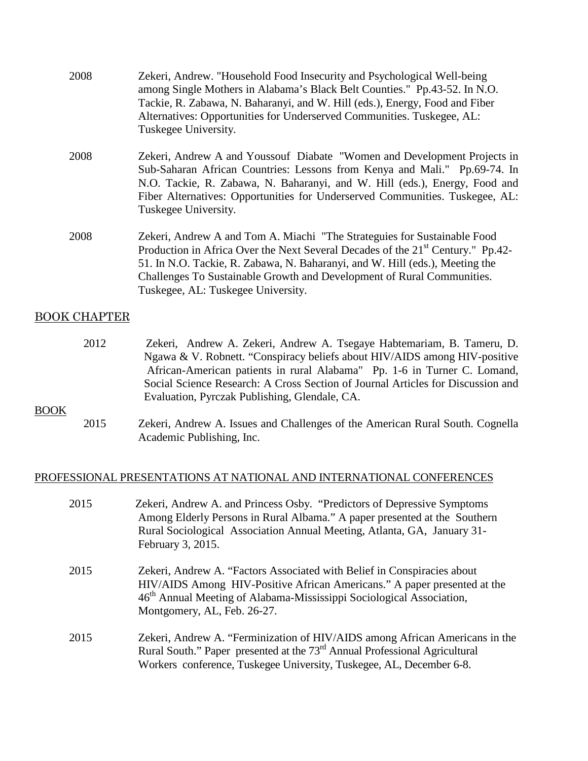| 2008                | Zekeri, Andrew. "Household Food Insecurity and Psychological Well-being<br>among Single Mothers in Alabama's Black Belt Counties." Pp.43-52. In N.O.<br>Tackie, R. Zabawa, N. Baharanyi, and W. Hill (eds.), Energy, Food and Fiber<br>Alternatives: Opportunities for Underserved Communities. Tuskegee, AL:<br>Tuskegee University.                                   |
|---------------------|-------------------------------------------------------------------------------------------------------------------------------------------------------------------------------------------------------------------------------------------------------------------------------------------------------------------------------------------------------------------------|
| 2008                | Zekeri, Andrew A and Youssouf Diabate "Women and Development Projects in<br>Sub-Saharan African Countries: Lessons from Kenya and Mali." Pp.69-74. In<br>N.O. Tackie, R. Zabawa, N. Baharanyi, and W. Hill (eds.), Energy, Food and<br>Fiber Alternatives: Opportunities for Underserved Communities. Tuskegee, AL:<br>Tuskegee University.                             |
| 2008                | Zekeri, Andrew A and Tom A. Miachi "The Strateguies for Sustainable Food<br>Production in Africa Over the Next Several Decades of the 21 <sup>st</sup> Century." Pp.42-<br>51. In N.O. Tackie, R. Zabawa, N. Baharanyi, and W. Hill (eds.), Meeting the<br>Challenges To Sustainable Growth and Development of Rural Communities.<br>Tuskegee, AL: Tuskegee University. |
| <b>BOOK CHAPTER</b> |                                                                                                                                                                                                                                                                                                                                                                         |
| 2012                | Zekeri, Andrew A. Zekeri, Andrew A. Tsegaye Habtemariam, B. Tameru, D.<br>Ngawa & V Dobnott "Congnizery beliefs shout HIV/AIDS among HIV positive                                                                                                                                                                                                                       |

 Ngawa & V. Robnett. "Conspiracy beliefs about HIV/AIDS among HIV-positive African-American patients in rural Alabama" Pp. 1-6 in Turner C. Lomand, Social Science Research: A Cross Section of Journal Articles for Discussion and Evaluation, Pyrczak Publishing, Glendale, CA.

#### BOOK

2015 Zekeri, Andrew A. Issues and Challenges of the American Rural South. Cognella Academic Publishing, Inc.

### PROFESSIONAL PRESENTATIONS AT NATIONAL AND INTERNATIONAL CONFERENCES

| 2015 | Zekeri, Andrew A. and Princess Osby. "Predictors of Depressive Symptoms"<br>Among Elderly Persons in Rural Albama." A paper presented at the Southern<br>Rural Sociological Association Annual Meeting, Atlanta, GA, January 31-<br>February 3, 2015.                  |
|------|------------------------------------------------------------------------------------------------------------------------------------------------------------------------------------------------------------------------------------------------------------------------|
| 2015 | Zekeri, Andrew A. "Factors Associated with Belief in Conspiracies about<br>HIV/AIDS Among HIV-Positive African Americans." A paper presented at the<br>46 <sup>th</sup> Annual Meeting of Alabama-Mississippi Sociological Association,<br>Montgomery, AL, Feb. 26-27. |
| 2015 | Zekeri, Andrew A. "Ferminization of HIV/AIDS among African Americans in the<br>Rural South." Paper presented at the 73 <sup>rd</sup> Annual Professional Agricultural<br>Workers conference, Tuskegee University, Tuskegee, AL, December 6-8.                          |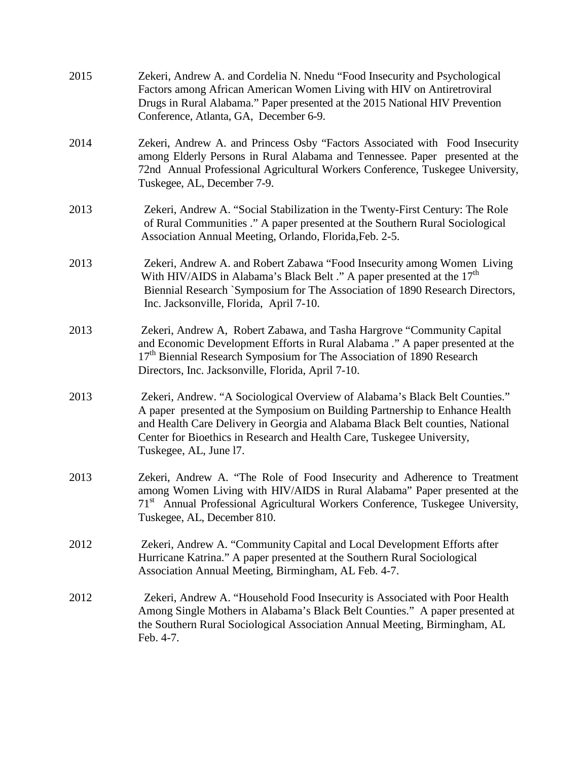| 2015 | Zekeri, Andrew A. and Cordelia N. Nnedu "Food Insecurity and Psychological<br>Factors among African American Women Living with HIV on Antiretroviral<br>Drugs in Rural Alabama." Paper presented at the 2015 National HIV Prevention<br>Conference, Atlanta, GA, December 6-9.                                                                   |
|------|--------------------------------------------------------------------------------------------------------------------------------------------------------------------------------------------------------------------------------------------------------------------------------------------------------------------------------------------------|
| 2014 | Zekeri, Andrew A. and Princess Osby "Factors Associated with Food Insecurity<br>among Elderly Persons in Rural Alabama and Tennessee. Paper presented at the<br>72nd Annual Professional Agricultural Workers Conference, Tuskegee University,<br>Tuskegee, AL, December 7-9.                                                                    |
| 2013 | Zekeri, Andrew A. "Social Stabilization in the Twenty-First Century: The Role<br>of Rural Communities ." A paper presented at the Southern Rural Sociological<br>Association Annual Meeting, Orlando, Florida, Feb. 2-5.                                                                                                                         |
| 2013 | Zekeri, Andrew A. and Robert Zabawa "Food Insecurity among Women Living<br>With HIV/AIDS in Alabama's Black Belt ." A paper presented at the 17 <sup>th</sup><br>Biennial Research `Symposium for The Association of 1890 Research Directors,<br>Inc. Jacksonville, Florida, April 7-10.                                                         |
| 2013 | Zekeri, Andrew A, Robert Zabawa, and Tasha Hargrove "Community Capital"<br>and Economic Development Efforts in Rural Alabama ." A paper presented at the<br>17 <sup>th</sup> Biennial Research Symposium for The Association of 1890 Research<br>Directors, Inc. Jacksonville, Florida, April 7-10.                                              |
| 2013 | Zekeri, Andrew. "A Sociological Overview of Alabama's Black Belt Counties."<br>A paper presented at the Symposium on Building Partnership to Enhance Health<br>and Health Care Delivery in Georgia and Alabama Black Belt counties, National<br>Center for Bioethics in Research and Health Care, Tuskegee University,<br>Tuskegee, AL, June 17. |
| 2013 | Zekeri, Andrew A. "The Role of Food Insecurity and Adherence to Treatment<br>among Women Living with HIV/AIDS in Rural Alabama" Paper presented at the<br>71 <sup>st</sup> Annual Professional Agricultural Workers Conference, Tuskegee University,<br>Tuskegee, AL, December 810.                                                              |
| 2012 | Zekeri, Andrew A. "Community Capital and Local Development Efforts after<br>Hurricane Katrina." A paper presented at the Southern Rural Sociological<br>Association Annual Meeting, Birmingham, AL Feb. 4-7.                                                                                                                                     |
| 2012 | Zekeri, Andrew A. "Household Food Insecurity is Associated with Poor Health<br>Among Single Mothers in Alabama's Black Belt Counties." A paper presented at<br>the Southern Rural Sociological Association Annual Meeting, Birmingham, AL<br>Feb. 4-7.                                                                                           |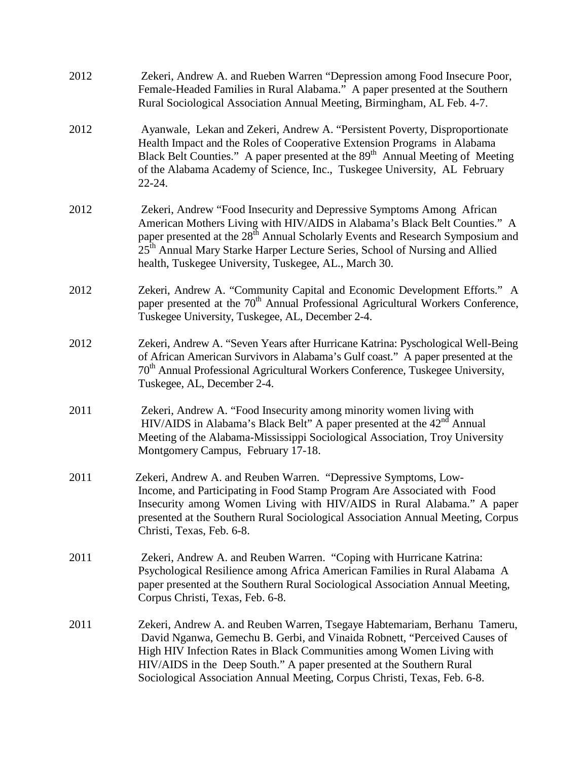| 2012 | Zekeri, Andrew A. and Rueben Warren "Depression among Food Insecure Poor,<br>Female-Headed Families in Rural Alabama." A paper presented at the Southern<br>Rural Sociological Association Annual Meeting, Birmingham, AL Feb. 4-7.                                                                                                                                                                   |
|------|-------------------------------------------------------------------------------------------------------------------------------------------------------------------------------------------------------------------------------------------------------------------------------------------------------------------------------------------------------------------------------------------------------|
| 2012 | Ayanwale, Lekan and Zekeri, Andrew A. "Persistent Poverty, Disproportionate<br>Health Impact and the Roles of Cooperative Extension Programs in Alabama<br>Black Belt Counties." A paper presented at the 89 <sup>th</sup> Annual Meeting of Meeting<br>of the Alabama Academy of Science, Inc., Tuskegee University, AL February<br>$22 - 24.$                                                       |
| 2012 | Zekeri, Andrew "Food Insecurity and Depressive Symptoms Among African<br>American Mothers Living with HIV/AIDS in Alabama's Black Belt Counties." A<br>paper presented at the 28 <sup>th</sup> Annual Scholarly Events and Research Symposium and<br>25 <sup>th</sup> Annual Mary Starke Harper Lecture Series, School of Nursing and Allied<br>health, Tuskegee University, Tuskegee, AL., March 30. |
| 2012 | Zekeri, Andrew A. "Community Capital and Economic Development Efforts." A<br>paper presented at the 70 <sup>th</sup> Annual Professional Agricultural Workers Conference,<br>Tuskegee University, Tuskegee, AL, December 2-4.                                                                                                                                                                         |
| 2012 | Zekeri, Andrew A. "Seven Years after Hurricane Katrina: Pyschological Well-Being<br>of African American Survivors in Alabama's Gulf coast." A paper presented at the<br>70 <sup>th</sup> Annual Professional Agricultural Workers Conference, Tuskegee University,<br>Tuskegee, AL, December 2-4.                                                                                                     |
| 2011 | Zekeri, Andrew A. "Food Insecurity among minority women living with<br>HIV/AIDS in Alabama's Black Belt" A paper presented at the 42 <sup>nd</sup> Annual<br>Meeting of the Alabama-Mississippi Sociological Association, Troy University<br>Montgomery Campus, February 17-18.                                                                                                                       |
| 2011 | Zekeri, Andrew A. and Reuben Warren. "Depressive Symptoms, Low-<br>Income, and Participating in Food Stamp Program Are Associated with Food<br>Insecurity among Women Living with HIV/AIDS in Rural Alabama." A paper<br>presented at the Southern Rural Sociological Association Annual Meeting, Corpus<br>Christi, Texas, Feb. 6-8.                                                                 |
| 2011 | Zekeri, Andrew A. and Reuben Warren. "Coping with Hurricane Katrina:<br>Psychological Resilience among Africa American Families in Rural Alabama A<br>paper presented at the Southern Rural Sociological Association Annual Meeting,<br>Corpus Christi, Texas, Feb. 6-8.                                                                                                                              |
| 2011 | Zekeri, Andrew A. and Reuben Warren, Tsegaye Habtemariam, Berhanu Tameru,<br>David Nganwa, Gemechu B. Gerbi, and Vinaida Robnett, "Perceived Causes of<br>High HIV Infection Rates in Black Communities among Women Living with<br>HIV/AIDS in the Deep South." A paper presented at the Southern Rural<br>Sociological Association Annual Meeting, Corpus Christi, Texas, Feb. 6-8.                  |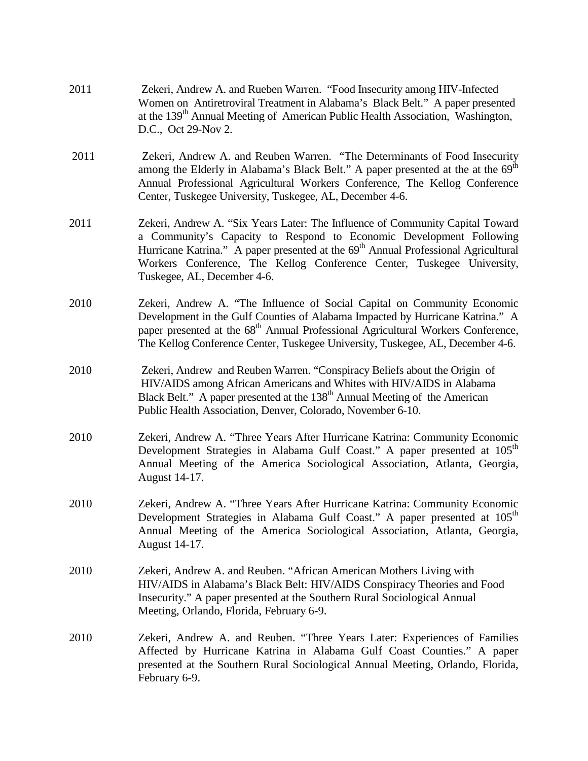| 2011 | Zekeri, Andrew A. and Rueben Warren. "Food Insecurity among HIV-Infected<br>Women on Antiretroviral Treatment in Alabama's Black Belt." A paper presented<br>at the 139 <sup>th</sup> Annual Meeting of American Public Health Association, Washington,<br>D.C., Oct 29-Nov 2.                                                                                  |
|------|-----------------------------------------------------------------------------------------------------------------------------------------------------------------------------------------------------------------------------------------------------------------------------------------------------------------------------------------------------------------|
| 2011 | Zekeri, Andrew A. and Reuben Warren. "The Determinants of Food Insecurity<br>among the Elderly in Alabama's Black Belt." A paper presented at the at the 69 <sup>th</sup><br>Annual Professional Agricultural Workers Conference, The Kellog Conference<br>Center, Tuskegee University, Tuskegee, AL, December 4-6.                                             |
| 2011 | Zekeri, Andrew A. "Six Years Later: The Influence of Community Capital Toward<br>a Community's Capacity to Respond to Economic Development Following<br>Hurricane Katrina." A paper presented at the 69 <sup>th</sup> Annual Professional Agricultural<br>Workers Conference, The Kellog Conference Center, Tuskegee University,<br>Tuskegee, AL, December 4-6. |
| 2010 | Zekeri, Andrew A. "The Influence of Social Capital on Community Economic<br>Development in the Gulf Counties of Alabama Impacted by Hurricane Katrina." A<br>paper presented at the 68 <sup>th</sup> Annual Professional Agricultural Workers Conference,<br>The Kellog Conference Center, Tuskegee University, Tuskegee, AL, December 4-6.                     |
| 2010 | Zekeri, Andrew and Reuben Warren. "Conspiracy Beliefs about the Origin of<br>HIV/AIDS among African Americans and Whites with HIV/AIDS in Alabama<br>Black Belt." A paper presented at the 138 <sup>th</sup> Annual Meeting of the American<br>Public Health Association, Denver, Colorado, November 6-10.                                                      |
| 2010 | Zekeri, Andrew A. "Three Years After Hurricane Katrina: Community Economic<br>Development Strategies in Alabama Gulf Coast." A paper presented at 105 <sup>th</sup><br>Annual Meeting of the America Sociological Association, Atlanta, Georgia,<br>August 14-17.                                                                                               |
| 2010 | Zekeri, Andrew A. "Three Years After Hurricane Katrina: Community Economic<br>Development Strategies in Alabama Gulf Coast." A paper presented at 105 <sup>th</sup><br>Annual Meeting of the America Sociological Association, Atlanta, Georgia,<br>August 14-17.                                                                                               |
| 2010 | Zekeri, Andrew A. and Reuben. "African American Mothers Living with<br>HIV/AIDS in Alabama's Black Belt: HIV/AIDS Conspiracy Theories and Food<br>Insecurity." A paper presented at the Southern Rural Sociological Annual<br>Meeting, Orlando, Florida, February 6-9.                                                                                          |
| 2010 | Zekeri, Andrew A. and Reuben. "Three Years Later: Experiences of Families<br>Affected by Hurricane Katrina in Alabama Gulf Coast Counties." A paper<br>presented at the Southern Rural Sociological Annual Meeting, Orlando, Florida,<br>February 6-9.                                                                                                          |